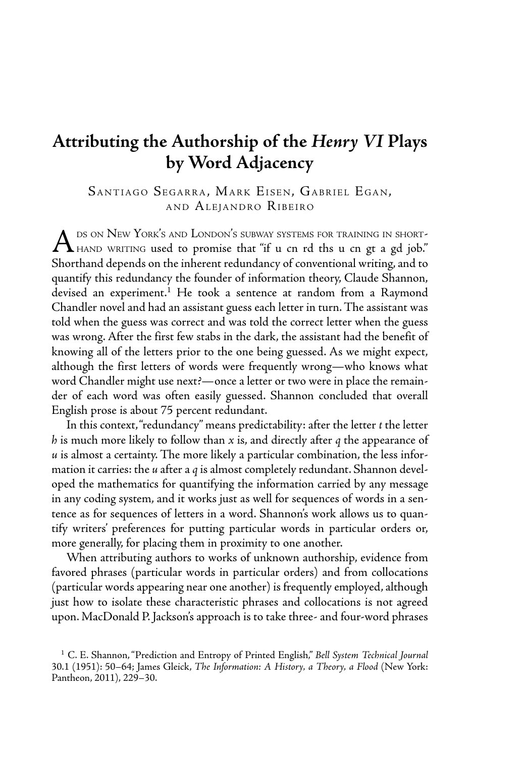# **Attributing the Authorship of the Henry VI Plays by Word Adjacency**

SANTIAGO SEGARRA, MARK EISEN, GABRIEL EGAN, AND ALEJANDRO RIBEIRO

A DS ON NEW YORK'S AND LONDON'S SUBWAY SYSTEMS FOR TRAINING IN SHORT- $\Lambda$  HAND WRITING used to promise that "if u cn rd ths u cn gt a gd job." Shorthand depends on the inherent redundancy of conventional writing, and to quantify this redundancy the founder of information theory, Claude Shannon, devised an experiment.<sup>1</sup> He took a sentence at random from a Raymond Chandler novel and had an assistant guess each letter in turn. The assistant was told when the guess was correct and was told the correct letter when the guess was wrong. After the first few stabs in the dark, the assistant had the benefit of knowing all of the letters prior to the one being guessed. As we might expect, although the first letters of words were frequently wrong—who knows what word Chandler might use next?—once a letter or two were in place the remainder of each word was often easily guessed. Shannon concluded that overall English prose is about 75 percent redundant.

In this context, "redundancy" means predictability: after the letter *t* the letter *h* is much more likely to follow than *x* is, and directly after *q* the appearance of *u* is almost a certainty. The more likely a particular combination, the less information it carries: the *u* after a *q* is almost completely redundant. Shannon developed the mathematics for quantifying the information carried by any message in any coding system, and it works just as well for sequences of words in a sentence as for sequences of letters in a word. Shannon's work allows us to quantify writers' preferences for putting particular words in particular orders or, more generally, for placing them in proximity to one another.

When attributing authors to works of unknown authorship, evidence from favored phrases (particular words in particular orders) and from collocations (particular words appearing near one another) is frequently employed, although just how to isolate these characteristic phrases and collocations is not agreed upon. MacDonald P. Jackson's approach is to take three- and four-word phrases

<sup>1</sup> C. E. Shannon, "Prediction and Entropy of Printed English," *Bell System Technical Journal* 30.1 (1951): 50–64; James Gleick, *The Information: A History, a Theory, a Flood* (New York: Pantheon, 2011), 229–30.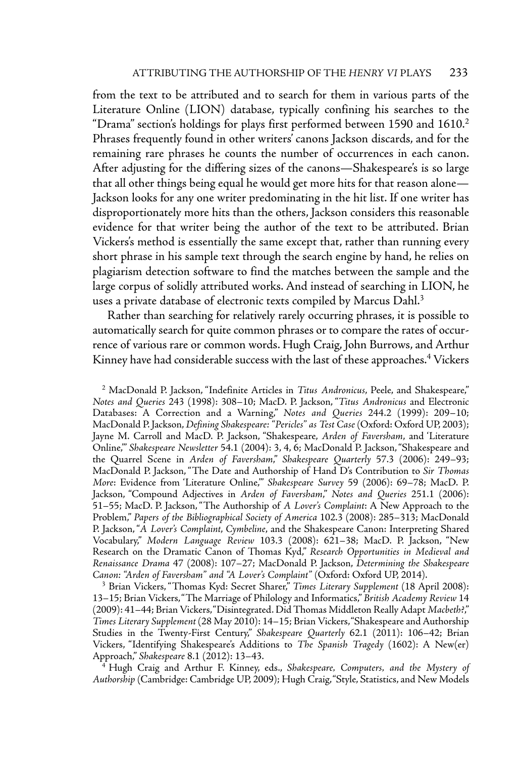from the text to be attributed and to search for them in various parts of the Literature Online (LION) database, typically confining his searches to the "Drama" section's holdings for plays first performed between 1590 and  $1610<sup>2</sup>$ Phrases frequently found in other writers' canons Jackson discards, and for the remaining rare phrases he counts the number of occurrences in each canon. After adjusting for the differing sizes of the canons—Shakespeare's is so large that all other things being equal he would get more hits for that reason alone— Jackson looks for any one writer predominating in the hit list. If one writer has disproportionately more hits than the others, Jackson considers this reasonable evidence for that writer being the author of the text to be attributed. Brian Vickers's method is essentially the same except that, rather than running every short phrase in his sample text through the search engine by hand, he relies on plagiarism detection software to find the matches between the sample and the large corpus of solidly attributed works. And instead of searching in LION, he uses a private database of electronic texts compiled by Marcus Dahl.<sup>3</sup>

Rather than searching for relatively rarely occurring phrases, it is possible to automatically search for quite common phrases or to compare the rates of occurrence of various rare or common words. Hugh Craig, John Burrows, and Arthur Kinney have had considerable success with the last of these approaches.<sup>4</sup> Vickers

<sup>2</sup> MacDonald P. Jackson, "Indefinite Articles in *Titus Andronicus*, Peele, and Shakespeare," *Notes and Queries* 243 (1998): 308–10; MacD. P. Jackson, "*Titus Andronicus* and Electronic Databases: A Correction and a Warning," *Notes and Queries* 244.2 (1999): 209–10; MacDonald P. Jackson, *Defining Shakespeare: "Pericles" as Test Case* (Oxford: Oxford UP, 2003); Jayne M. Carroll and MacD. P. Jackson, "Shakespeare, *Arden of Faversham*, and 'Literature Online,'" *Shakespeare Newsletter* 54.1 (2004): 3, 4, 6; MacDonald P. Jackson, "Shakespeare and the Quarrel Scene in *Arden of Faversham*," *Shakespeare Quarterly* 57.3 (2006): 249–93; MacDonald P. Jackson, "The Date and Authorship of Hand D's Contribution to *Sir Thomas More*: Evidence from 'Literature Online,'" *Shakespeare Survey* 59 (2006): 69–78; MacD. P. Jackson, "Compound Adjectives in *Arden of Faversham*," *Notes and Queries* 251.1 (2006): 51–55; MacD. P. Jackson, "The Authorship of *A Lover's Complaint*: A New Approach to the Problem," *Papers of the Bibliographical Society of America* 102.3 (2008): 285–313; MacDonald P. Jackson, "*A Lover's Complaint*, *Cymbeline*, and the Shakespeare Canon: Interpreting Shared Vocabulary," *Modern Language Review* 103.3 (2008): 621–38; MacD. P. Jackson, "New Research on the Dramatic Canon of Thomas Kyd," *Research Opportunities in Medieval and Renaissance Drama* 47 (2008): 107–27; MacDonald P. Jackson, *Determining the Shakespeare Canon: "Arden of Faversham" and "A Lover's Complaint"* (Oxford: Oxford UP, 2014). 3 Brian Vickers, "Thomas Kyd: Secret Sharer," *Times Literary Supplement* (18 April 2008):

13–15; Brian Vickers, "The Marriage of Philology and Informatics," *British Academy Review* 14 (2009): 41–44; Brian Vickers, "Disintegrated. Did Thomas Middleton Really Adapt *Macbeth*?," *Times Literary Supplement* (28 May 2010): 14–15; Brian Vickers, "Shakespeare and Authorship Studies in the Twenty-First Century," *Shakespeare Quarterly* 62.1 (2011): 106–42; Brian Vickers, "Identifying Shakespeare's Additions to *The Spanish Tragedy* (1602): A New(er) Approach," *Shakespeare* 8.1 (2012): 13–43. 4 Hugh Craig and Arthur F. Kinney, eds., *Shakespeare, Computers, and the Mystery of*

*Authorship* (Cambridge: Cambridge UP, 2009); Hugh Craig, "Style, Statistics, and New Models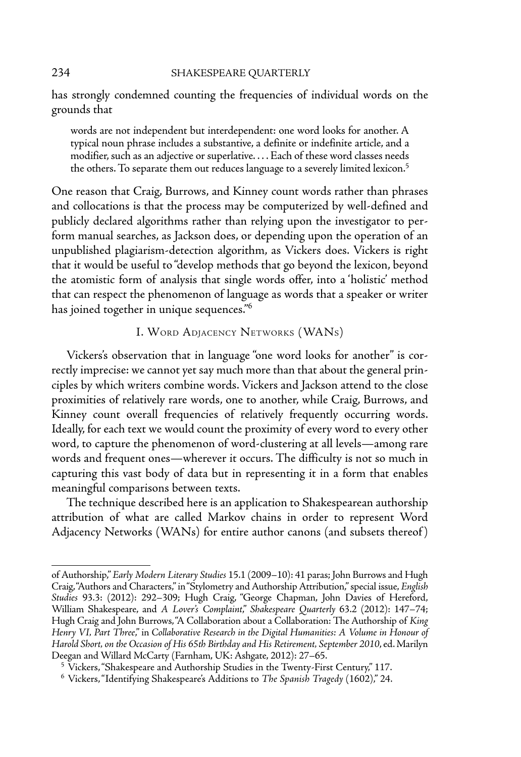has strongly condemned counting the frequencies of individual words on the grounds that

words are not independent but interdependent: one word looks for another. A typical noun phrase includes a substantive, a definite or indefinite article, and a modifier, such as an adjective or superlative. . . . Each of these word classes needs the others. To separate them out reduces language to a severely limited lexicon.<sup>5</sup>

One reason that Craig, Burrows, and Kinney count words rather than phrases and collocations is that the process may be computerized by well-defined and publicly declared algorithms rather than relying upon the investigator to perform manual searches, as Jackson does, or depending upon the operation of an unpublished plagiarism-detection algorithm, as Vickers does. Vickers is right that it would be useful to "develop methods that go beyond the lexicon, beyond the atomistic form of analysis that single words offer, into a 'holistic' method that can respect the phenomenon of language as words that a speaker or writer has joined together in unique sequences."6

# I. WORD ADJACENCY NETWORKS (WANS)

Vickers's observation that in language "one word looks for another" is correctly imprecise: we cannot yet say much more than that about the general principles by which writers combine words. Vickers and Jackson attend to the close proximities of relatively rare words, one to another, while Craig, Burrows, and Kinney count overall frequencies of relatively frequently occurring words. Ideally, for each text we would count the proximity of every word to every other word, to capture the phenomenon of word-clustering at all levels—among rare words and frequent ones—wherever it occurs. The difficulty is not so much in capturing this vast body of data but in representing it in a form that enables meaningful comparisons between texts.

The technique described here is an application to Shakespearean authorship attribution of what are called Markov chains in order to represent Word Adjacency Networks (WANs) for entire author canons (and subsets thereof )

of Authorship," *Early Modern Literary Studies* 15.1 (2009–10): 41 paras; John Burrows and Hugh Craig, "Authors and Characters," in "Stylometry and Authorship Attribution," special issue, *English Studies* 93.3: (2012): 292–309; Hugh Craig, "George Chapman, John Davies of Hereford, William Shakespeare, and *A Lover's Complaint*," *Shakespeare Quarterly* 63.2 (2012): 147–74; Hugh Craig and John Burrows, "A Collaboration about a Collaboration: The Authorship of *King Henry VI, Part Three*," in *Collaborative Research in the Digital Humanities: A Volume in Honour of Harold Short, on the Occasion of His 65th Birthday and His Retirement, September 2010*, ed. Marilyn Deegan and Willard McCarty (Farnham, UK: Ashgate, 2012): 27–65.

<sup>&</sup>lt;sup>5</sup> Vickers, "Shakespeare and Authorship Studies in the Twenty-First Century," 117.

<sup>6</sup> Vickers, "Identifying Shakespeare's Additions to *The Spanish Tragedy* (1602)," 24.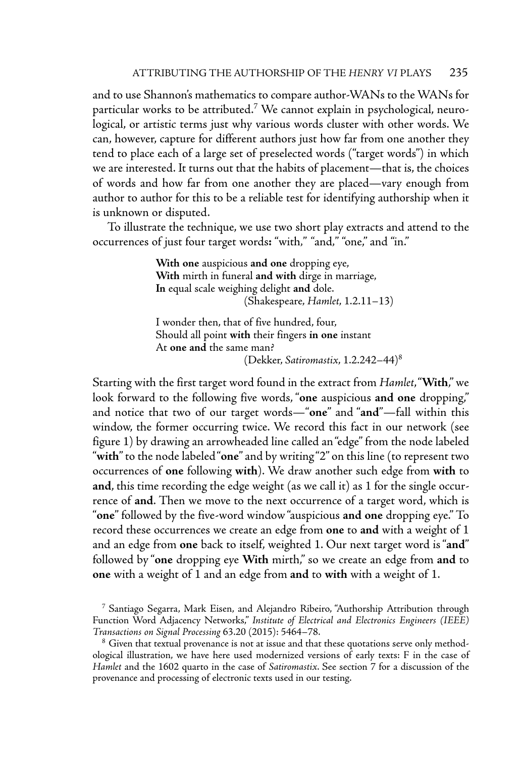and to use Shannon's mathematics to compare author-WANs to the WANs for particular works to be attributed.7 We cannot explain in psychological, neurological, or artistic terms just why various words cluster with other words. We can, however, capture for different authors just how far from one another they tend to place each of a large set of preselected words ("target words") in which we are interested. It turns out that the habits of placement—that is, the choices of words and how far from one another they are placed—vary enough from author to author for this to be a reliable test for identifying authorship when it is unknown or disputed.

To illustrate the technique, we use two short play extracts and attend to the occurrences of just four target words**:** "with*,*" *"*and*,*" "one," and "in."

> **With one** auspicious **and one** dropping eye, **With** mirth in funeral **and with** dirge in marriage, **In** equal scale weighing delight **and** dole. (Shakespeare, *Hamlet*, 1.2.11–13)

I wonder then, that of five hundred, four, Should all point **with** their fingers **in one** instant At **one and** the same man? (Dekker, *Satiromastix*, 1.2.242–44)8

Starting with the first target word found in the extract from *Hamlet*, "**With**," we look forward to the following five words, "**one** auspicious **and one** dropping," and notice that two of our target words—"**one**" and "**and**"—fall within this window, the former occurring twice. We record this fact in our network (see figure 1) by drawing an arrowheaded line called an "edge" from the node labeled "**with**" to the node labeled "**one**" and by writing "2" on this line (to represent two occurrences of **one** following **with**). We draw another such edge from **with** to **and**, this time recording the edge weight (as we call it) as 1 for the single occurrence of **and**. Then we move to the next occurrence of a target word, which is "**one**" followed by the five-word window "auspicious **and one** dropping eye." To record these occurrences we create an edge from **one** to **and** with a weight of 1 and an edge from **one** back to itself, weighted 1. Our next target word is "**and**" followed by "**one** dropping eye **With** mirth," so we create an edge from **and** to **one** with a weight of 1 and an edge from **and** to **with** with a weight of 1.

<sup>7</sup> Santiago Segarra, Mark Eisen, and Alejandro Ribeiro, "Authorship Attribution through Function Word Adjacency Networks," *Institute of Electrical and Electronics Engineers (IEEE) Transactions on Signal Processing* 63.20 (2015): 5464–78.

<sup>8</sup> Given that textual provenance is not at issue and that these quotations serve only methodological illustration, we have here used modernized versions of early texts: F in the case of *Hamlet* and the 1602 quarto in the case of *Satiromastix*. See section 7 for a discussion of the provenance and processing of electronic texts used in our testing.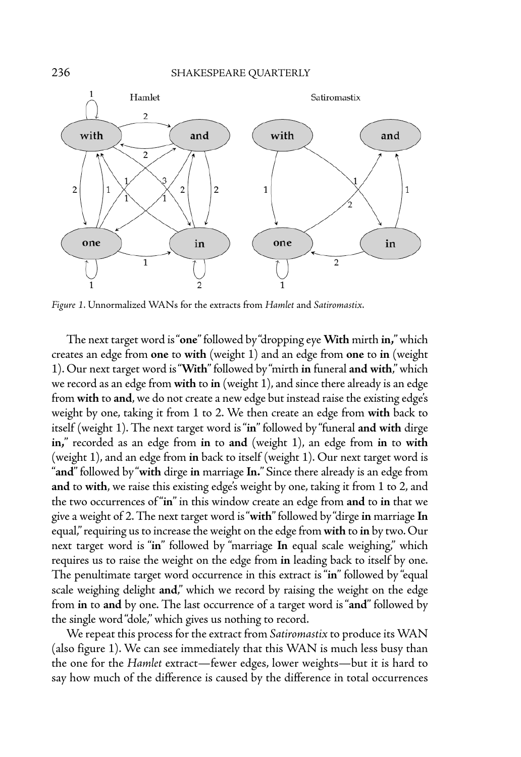

*Figure 1*. Unnormalized WANs for the extracts from *Hamlet* and *Satiromastix*.

The next target word is "**one**" followed by "dropping eye **With** mirth **in,**" which creates an edge from **one** to **with** (weight 1) and an edge from **one** to **in** (weight 1). Our next target word is "**With**" followed by "mirth **in** funeral **and with**," which we record as an edge from **with** to **in** (weight 1), and since there already is an edge from **with** to **and**, we do not create a new edge but instead raise the existing edge's weight by one, taking it from 1 to 2. We then create an edge from **with** back to itself (weight 1). The next target word is "**in**" followed by "funeral **and with** dirge **in,**" recorded as an edge from **in** to **and** (weight 1), an edge from **in** to **with** (weight 1), and an edge from **in** back to itself (weight 1). Our next target word is "**and**" followed by "**with** dirge **in** marriage **In.**" Since there already is an edge from **and** to **with**, we raise this existing edge's weight by one, taking it from 1 to 2, and the two occurrences of "**in**" in this window create an edge from **and** to **in** that we give a weight of 2. The next target word is "**with**" followed by "dirge **in** marriage **In** equal," requiring us to increase the weight on the edge from **with** to **in** by two. Our next target word is "**in**" followed by "marriage **In** equal scale weighing," which requires us to raise the weight on the edge from **in** leading back to itself by one. The penultimate target word occurrence in this extract is "**in**" followed by "equal scale weighing delight **and**," which we record by raising the weight on the edge from **in** to **and** by one. The last occurrence of a target word is "**and**" followed by the single word "dole," which gives us nothing to record.

We repeat this process for the extract from *Satiromastix* to produce its WAN (also figure 1). We can see immediately that this WAN is much less busy than the one for the *Hamlet* extract—fewer edges, lower weights—but it is hard to say how much of the difference is caused by the difference in total occurrences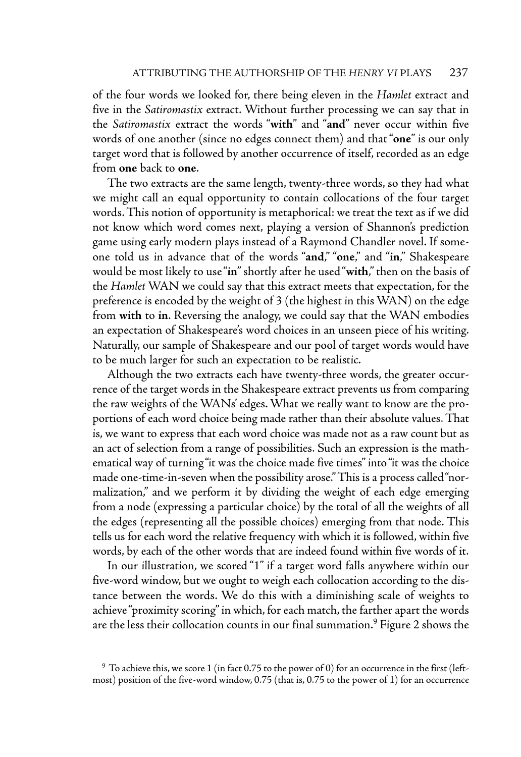of the four words we looked for, there being eleven in the *Hamlet* extract and five in the *Satiromastix* extract. Without further processing we can say that in the *Satiromastix* extract the words "**with**" and "**and**" never occur within five words of one another (since no edges connect them) and that "**one**" is our only target word that is followed by another occurrence of itself, recorded as an edge from **one** back to **one**.

The two extracts are the same length, twenty-three words, so they had what we might call an equal opportunity to contain collocations of the four target words. This notion of opportunity is metaphorical: we treat the text as if we did not know which word comes next, playing a version of Shannon's prediction game using early modern plays instead of a Raymond Chandler novel. If someone told us in advance that of the words "**and**," "**one**," and "**in**," Shakespeare would be most likely to use "**in**" shortly after he used "**with**," then on the basis of the *Hamlet* WAN we could say that this extract meets that expectation, for the preference is encoded by the weight of 3 (the highest in this WAN) on the edge from **with** to **in**. Reversing the analogy, we could say that the WAN embodies an expectation of Shakespeare's word choices in an unseen piece of his writing. Naturally, our sample of Shakespeare and our pool of target words would have to be much larger for such an expectation to be realistic.

Although the two extracts each have twenty-three words, the greater occurrence of the target words in the Shakespeare extract prevents us from comparing the raw weights of the WANs' edges. What we really want to know are the proportions of each word choice being made rather than their absolute values. That is, we want to express that each word choice was made not as a raw count but as an act of selection from a range of possibilities. Such an expression is the mathematical way of turning "it was the choice made five times" into "it was the choice made one-time-in-seven when the possibility arose." This is a process called "normalization," and we perform it by dividing the weight of each edge emerging from a node (expressing a particular choice) by the total of all the weights of all the edges (representing all the possible choices) emerging from that node. This tells us for each word the relative frequency with which it is followed, within five words, by each of the other words that are indeed found within five words of it.

In our illustration, we scored "1" if a target word falls anywhere within our five-word window, but we ought to weigh each collocation according to the distance between the words. We do this with a diminishing scale of weights to achieve "proximity scoring" in which, for each match, the farther apart the words are the less their collocation counts in our final summation.<sup>9</sup> Figure 2 shows the

 $9$  To achieve this, we score 1 (in fact 0.75 to the power of 0) for an occurrence in the first (leftmost) position of the five-word window, 0.75 (that is, 0.75 to the power of 1) for an occurrence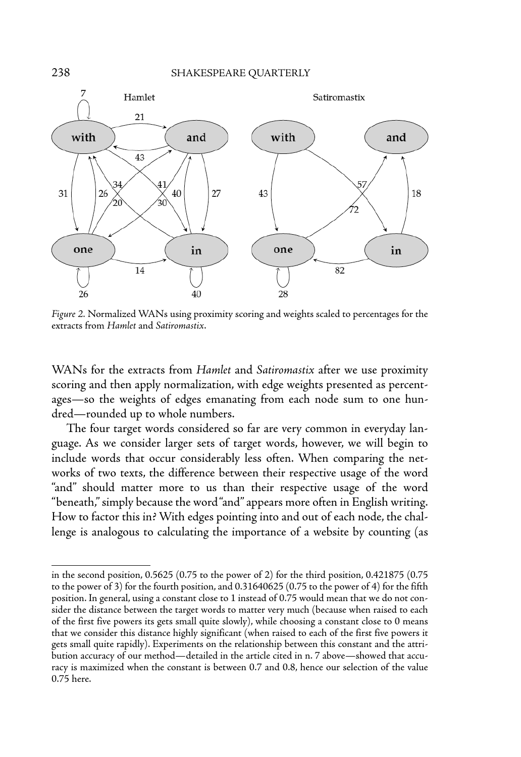

*Figure 2.* Normalized WANs using proximity scoring and weights scaled to percentages for the extracts from *Hamlet* and *Satiromastix*.

WANs for the extracts from *Hamlet* and *Satiromastix* after we use proximity scoring and then apply normalization, with edge weights presented as percentages—so the weights of edges emanating from each node sum to one hundred—rounded up to whole numbers.

The four target words considered so far are very common in everyday language. As we consider larger sets of target words, however, we will begin to include words that occur considerably less often. When comparing the networks of two texts, the difference between their respective usage of the word "and" should matter more to us than their respective usage of the word "beneath," simply because the word "and" appears more often in English writing. How to factor this in? With edges pointing into and out of each node, the challenge is analogous to calculating the importance of a website by counting (as

in the second position, 0.5625 (0.75 to the power of 2) for the third position, 0.421875 (0.75 to the power of 3) for the fourth position, and 0.31640625 (0.75 to the power of 4) for the fifth position. In general, using a constant close to 1 instead of 0.75 would mean that we do not consider the distance between the target words to matter very much (because when raised to each of the first five powers its gets small quite slowly), while choosing a constant close to 0 means that we consider this distance highly significant (when raised to each of the first five powers it gets small quite rapidly). Experiments on the relationship between this constant and the attribution accuracy of our method—detailed in the article cited in n. 7 above—showed that accuracy is maximized when the constant is between 0.7 and 0.8, hence our selection of the value 0.75 here.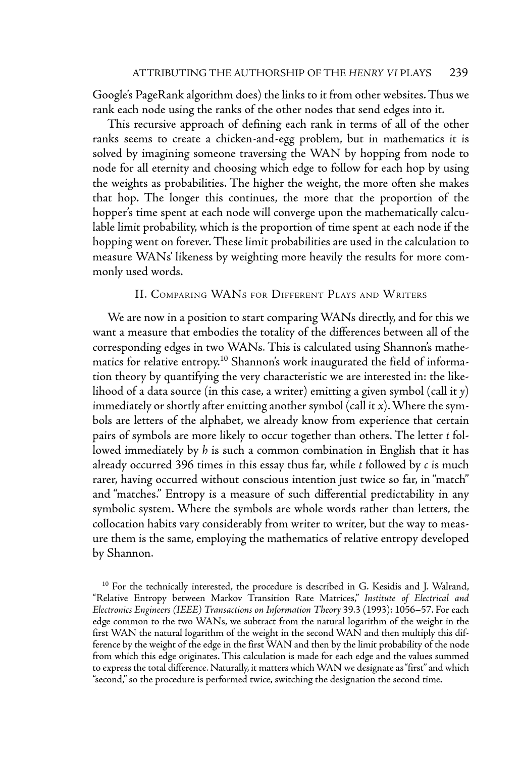Google's PageRank algorithm does) the links to it from other websites. Thus we rank each node using the ranks of the other nodes that send edges into it.

This recursive approach of defining each rank in terms of all of the other ranks seems to create a chicken-and-egg problem, but in mathematics it is solved by imagining someone traversing the WAN by hopping from node to node for all eternity and choosing which edge to follow for each hop by using the weights as probabilities. The higher the weight, the more often she makes that hop. The longer this continues, the more that the proportion of the hopper's time spent at each node will converge upon the mathematically calculable limit probability, which is the proportion of time spent at each node if the hopping went on forever. These limit probabilities are used in the calculation to measure WANs' likeness by weighting more heavily the results for more commonly used words.

# II. COMPARING WANS FOR DIFFERENT PLAYS AND WRITERS

We are now in a position to start comparing WANs directly, and for this we want a measure that embodies the totality of the differences between all of the corresponding edges in two WANs. This is calculated using Shannon's mathematics for relative entropy.<sup>10</sup> Shannon's work inaugurated the field of information theory by quantifying the very characteristic we are interested in: the likelihood of a data source (in this case, a writer) emitting a given symbol (call it *y*) immediately or shortly after emitting another symbol (call it *x*). Where the symbols are letters of the alphabet, we already know from experience that certain pairs of symbols are more likely to occur together than others. The letter *t* followed immediately by *h* is such a common combination in English that it has already occurred 396 times in this essay thus far, while *t* followed by *c* is much rarer, having occurred without conscious intention just twice so far, in "match" and "matches." Entropy is a measure of such differential predictability in any symbolic system. Where the symbols are whole words rather than letters, the collocation habits vary considerably from writer to writer, but the way to measure them is the same, employing the mathematics of relative entropy developed by Shannon.

<sup>10</sup> For the technically interested, the procedure is described in G. Kesidis and J. Walrand, "Relative Entropy between Markov Transition Rate Matrices," *Institute of Electrical and Electronics Engineers (IEEE) Transactions on Information Theory* 39.3 (1993): 1056–57. For each edge common to the two WANs, we subtract from the natural logarithm of the weight in the first WAN the natural logarithm of the weight in the second WAN and then multiply this difference by the weight of the edge in the first WAN and then by the limit probability of the node from which this edge originates. This calculation is made for each edge and the values summed to express the total difference. Naturally, it matters which WAN we designate as "first" and which "second," so the procedure is performed twice, switching the designation the second time.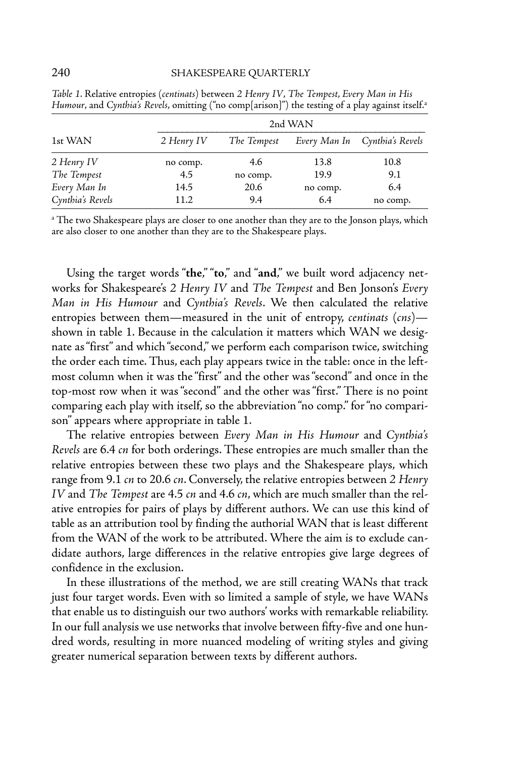|                  | 2nd WAN    |             |          |                               |
|------------------|------------|-------------|----------|-------------------------------|
| 1st WAN          | 2 Henry IV | The Tempest |          | Every Man In Cynthia's Revels |
| 2 Henry IV       | no comp.   | 4.6         | 13.8     | 10.8                          |
| The Tempest      | 4.5        | no comp.    | 19.9     | 9.1                           |
| Every Man In     | 14.5       | 20.6        | no comp. | 6.4                           |
| Cynthia's Revels | 11.2       | 9.4         | 6.4      | no comp.                      |

*Table 1*. Relative entropies (*centinats*) between *2 Henry IV*, *The Tempest*, *Every Man in His Humour,* and *Cynthia's Revels,* omitting ("no comp[arison]") the testing of a play against itself.<sup>a</sup>

<sup>a</sup> The two Shakespeare plays are closer to one another than they are to the Jonson plays, which are also closer to one another than they are to the Shakespeare plays.

Using the target words "**the**," "**to**," and "**and**," we built word adjacency networks for Shakespeare's *2 Henry IV* and *The Tempest* and Ben Jonson's *Every Man in His Humour* and *Cynthia's Revels*. We then calculated the relative entropies between them—measured in the unit of entropy, *centinats* (*cns*) shown in table 1. Because in the calculation it matters which WAN we designate as "first" and which "second," we perform each comparison twice, switching the order each time. Thus, each play appears twice in the table: once in the leftmost column when it was the "first" and the other was "second" and once in the top-most row when it was "second" and the other was "first." There is no point comparing each play with itself, so the abbreviation "no comp." for "no comparison" appears where appropriate in table 1.

The relative entropies between *Every Man in His Humour* and *Cynthia's Revels* are 6.4 *cn* for both orderings. These entropies are much smaller than the relative entropies between these two plays and the Shakespeare plays, which range from 9.1 *cn* to 20.6 *cn*. Conversely, the relative entropies between *2 Henry IV* and *The Tempest* are 4.5 *cn* and 4.6 *cn*, which are much smaller than the relative entropies for pairs of plays by different authors. We can use this kind of table as an attribution tool by finding the authorial WAN that is least different from the WAN of the work to be attributed. Where the aim is to exclude candidate authors, large differences in the relative entropies give large degrees of confidence in the exclusion.

In these illustrations of the method, we are still creating WANs that track just four target words. Even with so limited a sample of style, we have WANs that enable us to distinguish our two authors' works with remarkable reliability. In our full analysis we use networks that involve between fifty-five and one hundred words, resulting in more nuanced modeling of writing styles and giving greater numerical separation between texts by different authors.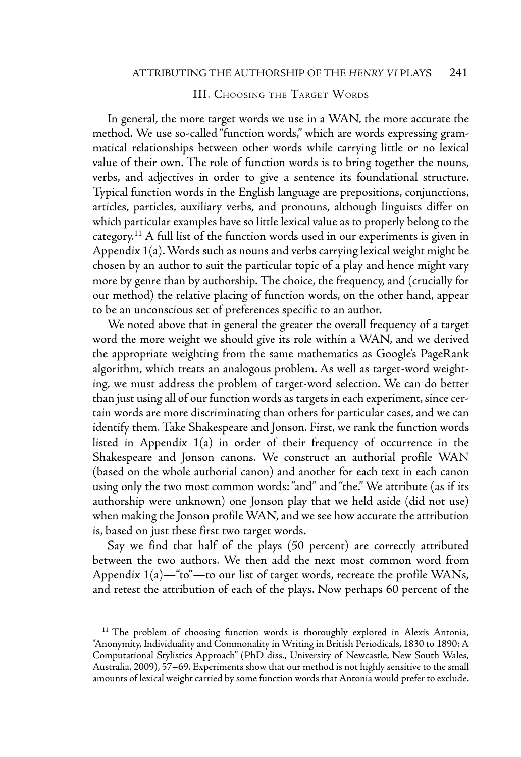# III. CHOOSING THE TARGET WORDS

In general, the more target words we use in a WAN, the more accurate the method. We use so-called "function words," which are words expressing grammatical relationships between other words while carrying little or no lexical value of their own. The role of function words is to bring together the nouns, verbs, and adjectives in order to give a sentence its foundational structure. Typical function words in the English language are prepositions, conjunctions, articles, particles, auxiliary verbs, and pronouns, although linguists differ on which particular examples have so little lexical value as to properly belong to the category.<sup>11</sup> A full list of the function words used in our experiments is given in Appendix 1(a). Words such as nouns and verbs carrying lexical weight might be chosen by an author to suit the particular topic of a play and hence might vary more by genre than by authorship. The choice, the frequency, and (crucially for our method) the relative placing of function words, on the other hand, appear to be an unconscious set of preferences specific to an author.

We noted above that in general the greater the overall frequency of a target word the more weight we should give its role within a WAN, and we derived the appropriate weighting from the same mathematics as Google's PageRank algorithm, which treats an analogous problem. As well as target-word weighting, we must address the problem of target-word selection. We can do better than just using all of our function words as targets in each experiment, since certain words are more discriminating than others for particular cases, and we can identify them. Take Shakespeare and Jonson. First, we rank the function words listed in Appendix 1(a) in order of their frequency of occurrence in the Shakespeare and Jonson canons. We construct an authorial profile WAN (based on the whole authorial canon) and another for each text in each canon using only the two most common words: "and" and "the." We attribute (as if its authorship were unknown) one Jonson play that we held aside (did not use) when making the Jonson profile WAN, and we see how accurate the attribution is, based on just these first two target words.

Say we find that half of the plays (50 percent) are correctly attributed between the two authors. We then add the next most common word from Appendix  $1(a)$ —"to"—to our list of target words, recreate the profile WANs, and retest the attribution of each of the plays. Now perhaps 60 percent of the

<sup>&</sup>lt;sup>11</sup> The problem of choosing function words is thoroughly explored in Alexis Antonia, "Anonymity, Individuality and Commonality in Writing in British Periodicals, 1830 to 1890: A Computational Stylistics Approach" (PhD diss., University of Newcastle, New South Wales, Australia, 2009), 57–69. Experiments show that our method is not highly sensitive to the small amounts of lexical weight carried by some function words that Antonia would prefer to exclude.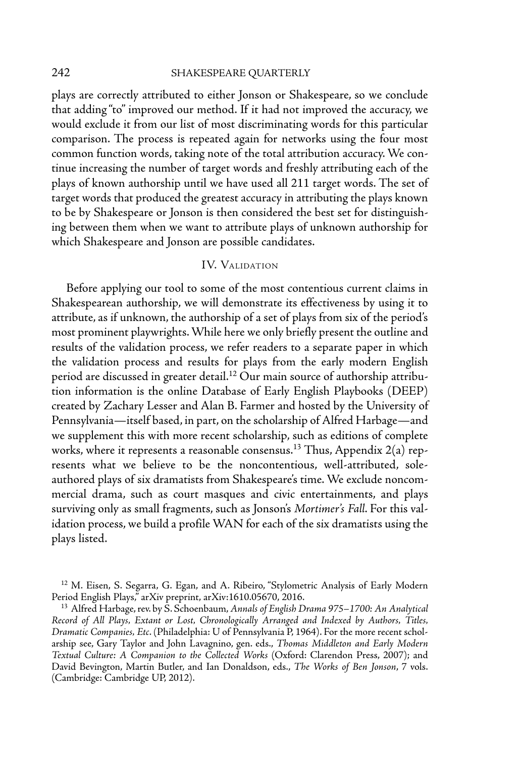plays are correctly attributed to either Jonson or Shakespeare, so we conclude that adding "to" improved our method. If it had not improved the accuracy, we would exclude it from our list of most discriminating words for this particular comparison. The process is repeated again for networks using the four most common function words, taking note of the total attribution accuracy. We continue increasing the number of target words and freshly attributing each of the plays of known authorship until we have used all 211 target words. The set of target words that produced the greatest accuracy in attributing the plays known to be by Shakespeare or Jonson is then considered the best set for distinguishing between them when we want to attribute plays of unknown authorship for which Shakespeare and Jonson are possible candidates.

# IV. VALIDATION

Before applying our tool to some of the most contentious current claims in Shakespearean authorship, we will demonstrate its effectiveness by using it to attribute, as if unknown, the authorship of a set of plays from six of the period's most prominent playwrights. While here we only briefly present the outline and results of the validation process, we refer readers to a separate paper in which the validation process and results for plays from the early modern English period are discussed in greater detail.<sup>12</sup> Our main source of authorship attribution information is the online Database of Early English Playbooks (DEEP) created by Zachary Lesser and Alan B. Farmer and hosted by the University of Pennsylvania—itself based, in part, on the scholarship of Alfred Harbage—and we supplement this with more recent scholarship, such as editions of complete works, where it represents a reasonable consensus.13 Thus, Appendix 2(a) represents what we believe to be the noncontentious, well-attributed, soleauthored plays of six dramatists from Shakespeare's time. We exclude noncommercial drama, such as court masques and civic entertainments, and plays surviving only as small fragments, such as Jonson's *Mortimer's Fall*. For this validation process, we build a profile WAN for each of the six dramatists using the plays listed.

<sup>&</sup>lt;sup>12</sup> M. Eisen, S. Segarra, G. Egan, and A. Ribeiro, "Stylometric Analysis of Early Modern Period English Plays," arXiv preprint, arXiv:1610.05670, 2016.

<sup>13</sup> Alfred Harbage, rev. by S. Schoenbaum, *Annals of English Drama 975–1700: An Analytical Record of All Plays, Extant or Lost, Chronologically Arranged and Indexed by Authors, Titles, Dramatic Companies, Etc*. (Philadelphia: U of Pennsylvania P, 1964). For the more recent scholarship see, Gary Taylor and John Lavagnino, gen. eds., *Thomas Middleton and Early Modern Textual Culture: A Companion to the Collected Works* (Oxford: Clarendon Press, 2007); and David Bevington, Martin Butler, and Ian Donaldson, eds., *The Works of Ben Jonson*, 7 vols. (Cambridge: Cambridge UP, 2012).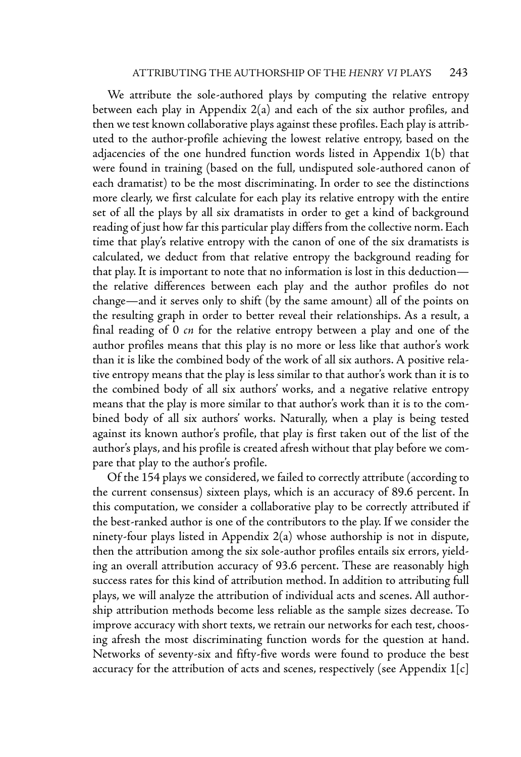We attribute the sole-authored plays by computing the relative entropy between each play in Appendix 2(a) and each of the six author profiles, and then we test known collaborative plays against these profiles. Each play is attributed to the author-profile achieving the lowest relative entropy, based on the adjacencies of the one hundred function words listed in Appendix 1(b) that were found in training (based on the full, undisputed sole-authored canon of each dramatist) to be the most discriminating. In order to see the distinctions more clearly, we first calculate for each play its relative entropy with the entire set of all the plays by all six dramatists in order to get a kind of background reading of just how far this particular play differs from the collective norm. Each time that play's relative entropy with the canon of one of the six dramatists is calculated, we deduct from that relative entropy the background reading for that play. It is important to note that no information is lost in this deduction the relative differences between each play and the author profiles do not change—and it serves only to shift (by the same amount) all of the points on the resulting graph in order to better reveal their relationships. As a result, a final reading of 0 *cn* for the relative entropy between a play and one of the author profiles means that this play is no more or less like that author's work than it is like the combined body of the work of all six authors. A positive relative entropy means that the play is less similar to that author's work than it is to the combined body of all six authors' works, and a negative relative entropy means that the play is more similar to that author's work than it is to the combined body of all six authors' works. Naturally, when a play is being tested against its known author's profile, that play is first taken out of the list of the author's plays, and his profile is created afresh without that play before we compare that play to the author's profile.

Of the 154 plays we considered, we failed to correctly attribute (according to the current consensus) sixteen plays, which is an accuracy of 89.6 percent. In this computation, we consider a collaborative play to be correctly attributed if the best-ranked author is one of the contributors to the play. If we consider the ninety-four plays listed in Appendix 2(a) whose authorship is not in dispute, then the attribution among the six sole-author profiles entails six errors, yielding an overall attribution accuracy of 93.6 percent. These are reasonably high success rates for this kind of attribution method. In addition to attributing full plays, we will analyze the attribution of individual acts and scenes. All authorship attribution methods become less reliable as the sample sizes decrease. To improve accuracy with short texts, we retrain our networks for each test, choosing afresh the most discriminating function words for the question at hand. Networks of seventy-six and fifty-five words were found to produce the best accuracy for the attribution of acts and scenes, respectively (see Appendix  $1[c]$ )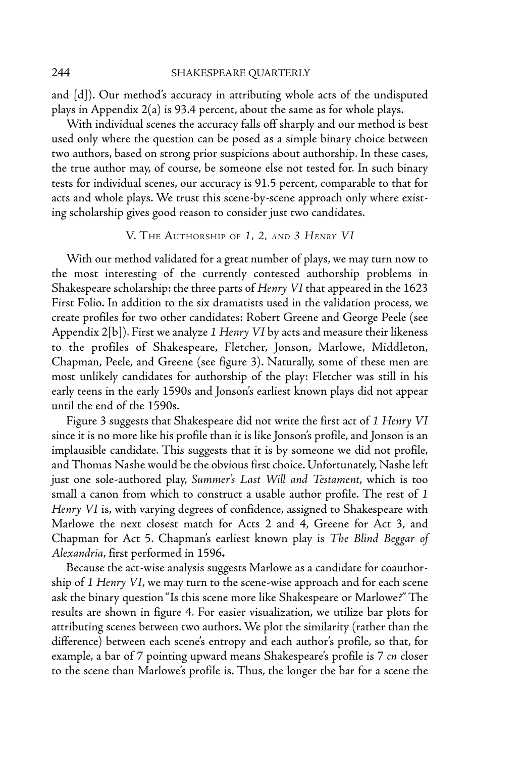and [d]). Our method's accuracy in attributing whole acts of the undisputed plays in Appendix 2(a) is 93.4 percent, about the same as for whole plays.

With individual scenes the accuracy falls off sharply and our method is best used only where the question can be posed as a simple binary choice between two authors, based on strong prior suspicions about authorship. In these cases, the true author may, of course, be someone else not tested for. In such binary tests for individual scenes, our accuracy is 91.5 percent, comparable to that for acts and whole plays. We trust this scene-by-scene approach only where existing scholarship gives good reason to consider just two candidates.

# V. THE AUTHORSHIP OF *1, 2, AND 3 HENRY VI*

With our method validated for a great number of plays, we may turn now to the most interesting of the currently contested authorship problems in Shakespeare scholarship: the three parts of *Henry VI* that appeared in the 1623 First Folio. In addition to the six dramatists used in the validation process, we create profiles for two other candidates: Robert Greene and George Peele (see Appendix 2[b]). First we analyze *1 Henry VI* by acts and measure their likeness to the profiles of Shakespeare, Fletcher, Jonson, Marlowe, Middleton, Chapman, Peele, and Greene (see figure 3). Naturally, some of these men are most unlikely candidates for authorship of the play: Fletcher was still in his early teens in the early 1590s and Jonson's earliest known plays did not appear until the end of the 1590s.

Figure 3 suggests that Shakespeare did not write the first act of *1 Henry VI* since it is no more like his profile than it is like Jonson's profile, and Jonson is an implausible candidate. This suggests that it is by someone we did not profile, and Thomas Nashe would be the obvious first choice. Unfortunately, Nashe left just one sole-authored play, *Summer's Last Will and Testament*, which is too small a canon from which to construct a usable author profile. The rest of *1 Henry VI* is, with varying degrees of confidence, assigned to Shakespeare with Marlowe the next closest match for Acts 2 and 4, Greene for Act 3, and Chapman for Act 5. Chapman's earliest known play is *The Blind Beggar of Alexandria*, first performed in 1596**.** 

Because the act-wise analysis suggests Marlowe as a candidate for coauthorship of *1 Henry VI*, we may turn to the scene-wise approach and for each scene ask the binary question "Is this scene more like Shakespeare or Marlowe?" The results are shown in figure 4. For easier visualization, we utilize bar plots for attributing scenes between two authors. We plot the similarity (rather than the difference) between each scene's entropy and each author's profile, so that, for example, a bar of 7 pointing upward means Shakespeare's profile is 7 *cn* closer to the scene than Marlowe's profile is. Thus, the longer the bar for a scene the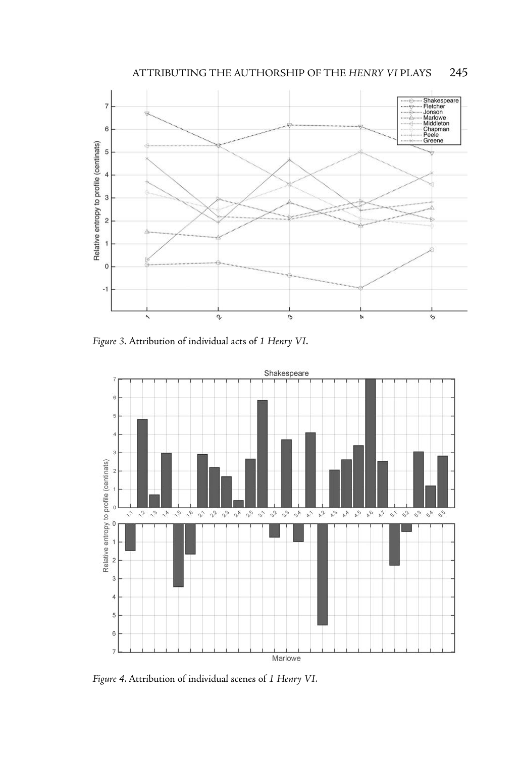# ATTRIBUTING THE AUTHORSHIP OF THE *HENRY VI* PLAYS 245



*Figure 3.* Attribution of individual acts of *1 Henry VI*.



*Figure 4*. Attribution of individual scenes of *1 Henry VI*.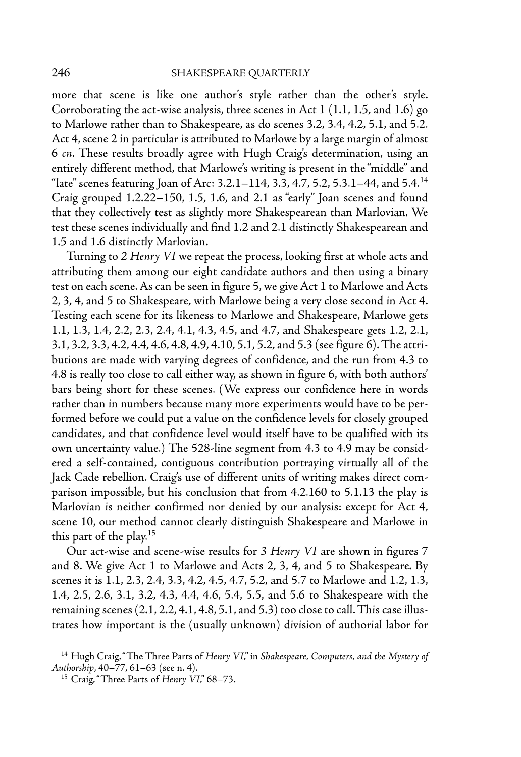more that scene is like one author's style rather than the other's style. Corroborating the act-wise analysis, three scenes in Act 1 (1.1, 1.5, and 1.6) go to Marlowe rather than to Shakespeare, as do scenes 3.2, 3.4, 4.2, 5.1, and 5.2. Act 4, scene 2 in particular is attributed to Marlowe by a large margin of almost 6 *cn*. These results broadly agree with Hugh Craig's determination, using an entirely different method, that Marlowe's writing is present in the "middle" and "late" scenes featuring Joan of Arc: 3.2.1–114, 3.3, 4.7, 5.2, 5.3.1–44, and 5.4.14 Craig grouped 1.2.22–150, 1.5, 1.6, and 2.1 as "early" Joan scenes and found that they collectively test as slightly more Shakespearean than Marlovian. We test these scenes individually and find 1.2 and 2.1 distinctly Shakespearean and 1.5 and 1.6 distinctly Marlovian.

Turning to *2 Henry VI* we repeat the process, looking first at whole acts and attributing them among our eight candidate authors and then using a binary test on each scene. As can be seen in figure 5, we give Act 1 to Marlowe and Acts 2, 3, 4, and 5 to Shakespeare, with Marlowe being a very close second in Act 4. Testing each scene for its likeness to Marlowe and Shakespeare, Marlowe gets 1.1, 1.3, 1.4, 2.2, 2.3, 2.4, 4.1, 4.3, 4.5, and 4.7, and Shakespeare gets 1.2, 2.1, 3.1, 3.2, 3.3, 4.2, 4.4, 4.6, 4.8, 4.9, 4.10, 5.1, 5.2, and 5.3 (see figure 6). The attributions are made with varying degrees of confidence, and the run from 4.3 to 4.8 is really too close to call either way, as shown in figure 6, with both authors' bars being short for these scenes. (We express our confidence here in words rather than in numbers because many more experiments would have to be performed before we could put a value on the confidence levels for closely grouped candidates, and that confidence level would itself have to be qualified with its own uncertainty value.) The 528-line segment from 4.3 to 4.9 may be considered a self-contained, contiguous contribution portraying virtually all of the Jack Cade rebellion. Craig's use of different units of writing makes direct comparison impossible, but his conclusion that from 4.2.160 to 5.1.13 the play is Marlovian is neither confirmed nor denied by our analysis: except for Act 4, scene 10, our method cannot clearly distinguish Shakespeare and Marlowe in this part of the play.<sup>15</sup>

Our act-wise and scene-wise results for *3 Henry VI* are shown in figures 7 and 8. We give Act 1 to Marlowe and Acts 2, 3, 4, and 5 to Shakespeare. By scenes it is 1.1, 2.3, 2.4, 3.3, 4.2, 4.5, 4.7, 5.2, and 5.7 to Marlowe and 1.2, 1.3, 1.4, 2.5, 2.6, 3.1, 3.2, 4.3, 4.4, 4.6, 5.4, 5.5, and 5.6 to Shakespeare with the remaining scenes (2.1, 2.2, 4.1, 4.8, 5.1, and 5.3) too close to call. This case illustrates how important is the (usually unknown) division of authorial labor for

<sup>14</sup> Hugh Craig, "The Three Parts of *Henry VI*," in *Shakespeare, Computers, and the Mystery of Authorship*, 40–77, 61–63 (see n. 4).

<sup>15</sup> Craig, "Three Parts of *Henry VI*," 68–73.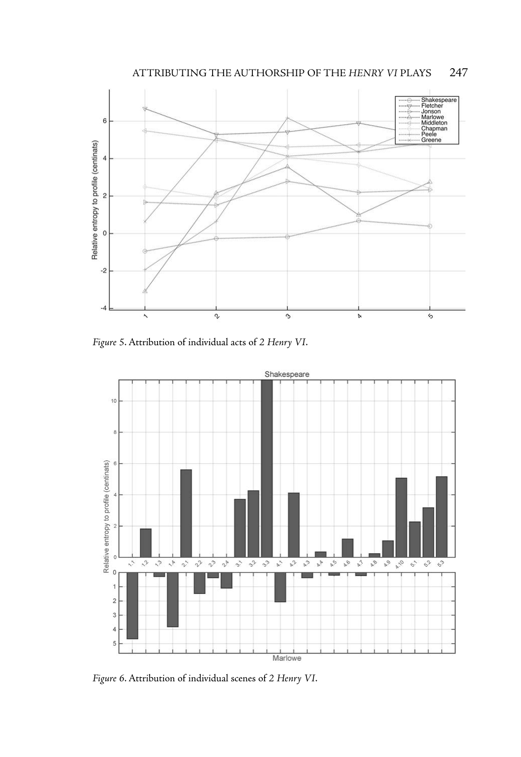### ATTRIBUTING THE AUTHORSHIP OF THE *HENRY VI* PLAYS 247



*Figure 5*. Attribution of individual acts of *2 Henry VI*.



*Figure 6*. Attribution of individual scenes of *2 Henry VI*.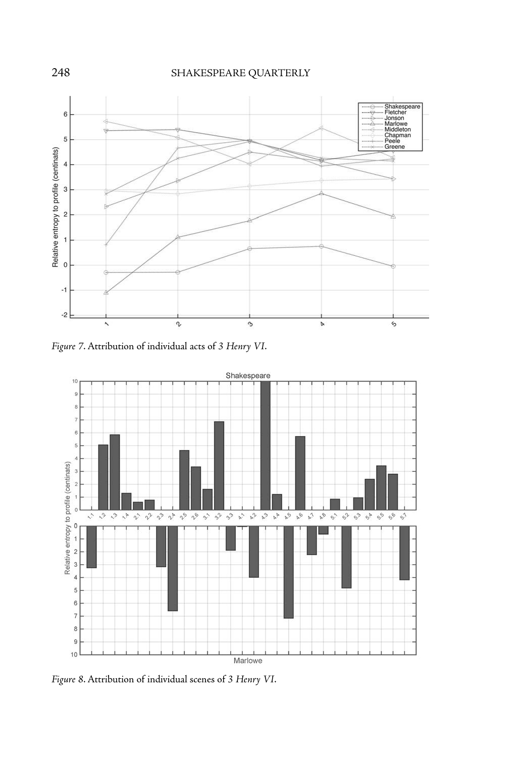

*Figure 7*. Attribution of individual acts of *3 Henry VI*.



*Figure 8*. Attribution of individual scenes of *3 Henry VI*.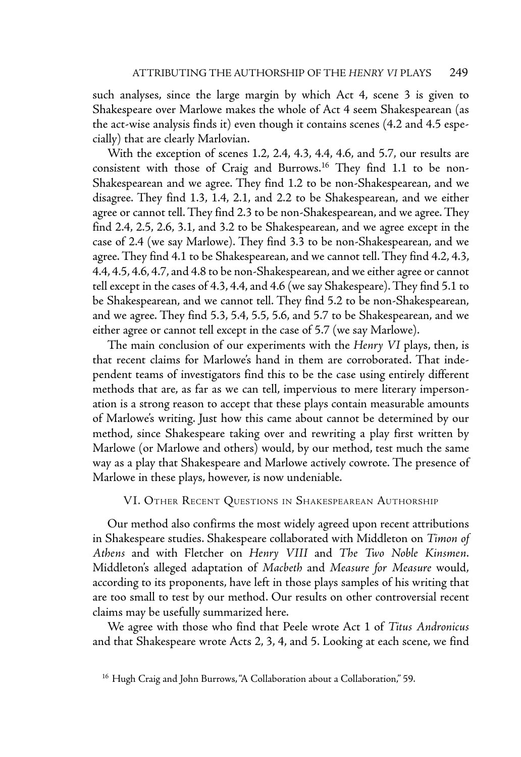such analyses, since the large margin by which Act 4, scene 3 is given to Shakespeare over Marlowe makes the whole of Act 4 seem Shakespearean (as the act-wise analysis finds it) even though it contains scenes (4.2 and 4.5 especially) that are clearly Marlovian.

With the exception of scenes 1.2, 2.4, 4.3, 4.4, 4.6, and 5.7, our results are consistent with those of Craig and Burrows.<sup>16</sup> They find 1.1 to be non-Shakespearean and we agree. They find 1.2 to be non-Shakespearean, and we disagree. They find 1.3, 1.4, 2.1, and 2.2 to be Shakespearean, and we either agree or cannot tell. They find 2.3 to be non-Shakespearean, and we agree. They find 2.4, 2.5, 2.6, 3.1, and 3.2 to be Shakespearean, and we agree except in the case of 2.4 (we say Marlowe). They find 3.3 to be non-Shakespearean, and we agree. They find 4.1 to be Shakespearean, and we cannot tell. They find 4.2, 4.3, 4.4, 4.5, 4.6, 4.7, and 4.8 to be non-Shakespearean, and we either agree or cannot tell except in the cases of 4.3, 4.4, and 4.6 (we say Shakespeare). They find 5.1 to be Shakespearean, and we cannot tell. They find 5.2 to be non-Shakespearean, and we agree. They find 5.3, 5.4, 5.5, 5.6, and 5.7 to be Shakespearean, and we either agree or cannot tell except in the case of 5.7 (we say Marlowe).

The main conclusion of our experiments with the *Henry VI* plays, then, is that recent claims for Marlowe's hand in them are corroborated. That independent teams of investigators find this to be the case using entirely different methods that are, as far as we can tell, impervious to mere literary impersonation is a strong reason to accept that these plays contain measurable amounts of Marlowe's writing. Just how this came about cannot be determined by our method, since Shakespeare taking over and rewriting a play first written by Marlowe (or Marlowe and others) would, by our method, test much the same way as a play that Shakespeare and Marlowe actively cowrote. The presence of Marlowe in these plays, however, is now undeniable.

# VI. OTHER RECENT QUESTIONS IN SHAKESPEAREAN AUTHORSHIP

Our method also confirms the most widely agreed upon recent attributions in Shakespeare studies. Shakespeare collaborated with Middleton on *Timon of Athens* and with Fletcher on *Henry VIII* and *The Two Noble Kinsmen*. Middleton's alleged adaptation of *Macbeth* and *Measure for Measure* would, according to its proponents, have left in those plays samples of his writing that are too small to test by our method. Our results on other controversial recent claims may be usefully summarized here.

We agree with those who find that Peele wrote Act 1 of *Titus Andronicus* and that Shakespeare wrote Acts 2, 3, 4, and 5. Looking at each scene, we find

<sup>&</sup>lt;sup>16</sup> Hugh Craig and John Burrows, "A Collaboration about a Collaboration," 59.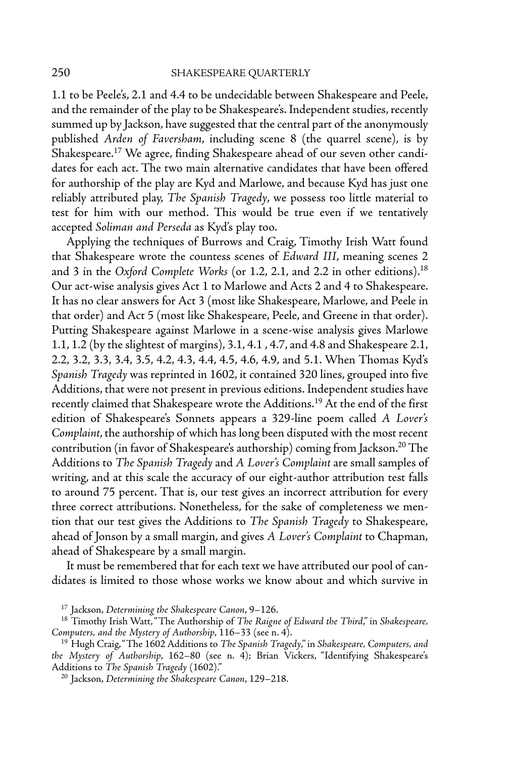1.1 to be Peele's, 2.1 and 4.4 to be undecidable between Shakespeare and Peele, and the remainder of the play to be Shakespeare's. Independent studies, recently summed up by Jackson, have suggested that the central part of the anonymously published *Arden of Faversham*, including scene 8 (the quarrel scene), is by Shakespeare.17 We agree, finding Shakespeare ahead of our seven other candidates for each act. The two main alternative candidates that have been offered for authorship of the play are Kyd and Marlowe, and because Kyd has just one reliably attributed play, *The Spanish Tragedy*, we possess too little material to test for him with our method. This would be true even if we tentatively accepted *Soliman and Perseda* as Kyd's play too.

Applying the techniques of Burrows and Craig, Timothy Irish Watt found that Shakespeare wrote the countess scenes of *Edward III*, meaning scenes 2 and 3 in the *Oxford Complete Works* (or 1.2, 2.1, and 2.2 in other editions).18 Our act-wise analysis gives Act 1 to Marlowe and Acts 2 and 4 to Shakespeare. It has no clear answers for Act 3 (most like Shakespeare, Marlowe, and Peele in that order) and Act 5 (most like Shakespeare, Peele, and Greene in that order). Putting Shakespeare against Marlowe in a scene-wise analysis gives Marlowe 1.1, 1.2 (by the slightest of margins), 3.1, 4.1 , 4.7, and 4.8 and Shakespeare 2.1, 2.2, 3.2, 3.3, 3.4, 3.5, 4.2, 4.3, 4.4, 4.5, 4.6, 4.9, and 5.1. When Thomas Kyd's *Spanish Tragedy* was reprinted in 1602, it contained 320 lines, grouped into five Additions, that were not present in previous editions. Independent studies have recently claimed that Shakespeare wrote the Additions.<sup>19</sup> At the end of the first edition of Shakespeare's Sonnets appears a 329-line poem called *A Lover's Complaint*, the authorship of which has long been disputed with the most recent contribution (in favor of Shakespeare's authorship) coming from Jackson.<sup>20</sup> The Additions to *The Spanish Tragedy* and *A Lover's Complaint* are small samples of writing, and at this scale the accuracy of our eight-author attribution test falls to around 75 percent. That is, our test gives an incorrect attribution for every three correct attributions. Nonetheless, for the sake of completeness we mention that our test gives the Additions to *The Spanish Tragedy* to Shakespeare, ahead of Jonson by a small margin, and gives *A Lover's Complaint* to Chapman, ahead of Shakespeare by a small margin.

It must be remembered that for each text we have attributed our pool of candidates is limited to those whose works we know about and which survive in

<sup>17</sup> Jackson, *Determining the Shakespeare Canon*, 9–126.

<sup>18</sup> Timothy Irish Watt, "The Authorship of *The Raigne of Edward the Third*," in *Shakespeare, Computers, and the Mystery of Authorship*, 116–33 (see n. 4).

<sup>19</sup> Hugh Craig, "The 1602 Additions to *The Spanish Tragedy*," in *Shakespeare, Computers, and the Mystery of Authorship*, 162–80 (see n. 4); Brian Vickers, "Identifying Shakespeare's Additions to *The Spanish Tragedy* (1602)."

<sup>20</sup> Jackson, *Determining the Shakespeare Canon*, 129–218.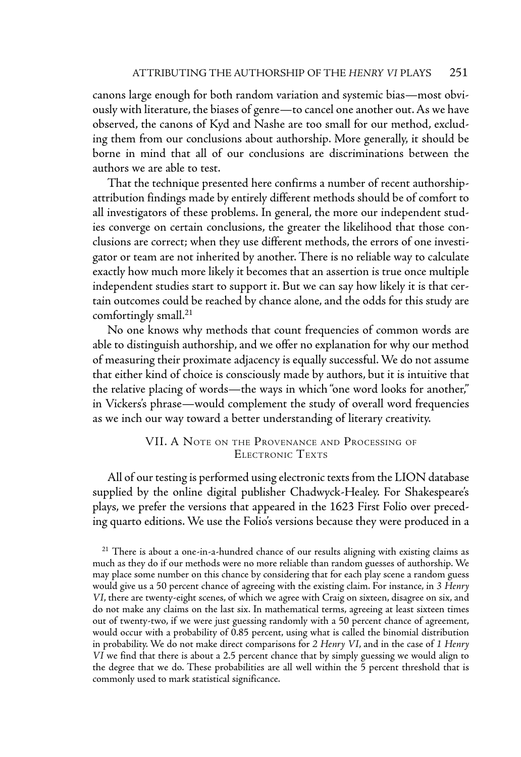canons large enough for both random variation and systemic bias—most obviously with literature, the biases of genre—to cancel one another out. As we have observed, the canons of Kyd and Nashe are too small for our method, excluding them from our conclusions about authorship. More generally, it should be borne in mind that all of our conclusions are discriminations between the authors we are able to test.

That the technique presented here confirms a number of recent authorshipattribution findings made by entirely different methods should be of comfort to all investigators of these problems. In general, the more our independent studies converge on certain conclusions, the greater the likelihood that those conclusions are correct; when they use different methods, the errors of one investigator or team are not inherited by another. There is no reliable way to calculate exactly how much more likely it becomes that an assertion is true once multiple independent studies start to support it. But we can say how likely it is that certain outcomes could be reached by chance alone, and the odds for this study are comfortingly small. $^{21}$ 

No one knows why methods that count frequencies of common words are able to distinguish authorship, and we offer no explanation for why our method of measuring their proximate adjacency is equally successful. We do not assume that either kind of choice is consciously made by authors, but it is intuitive that the relative placing of words—the ways in which "one word looks for another," in Vickers's phrase—would complement the study of overall word frequencies as we inch our way toward a better understanding of literary creativity.

# VII. A NOTE ON THE PROVENANCE AND PROCESSING OF ELECTRONIC TEXTS

All of our testing is performed using electronic texts from the LION database supplied by the online digital publisher Chadwyck-Healey. For Shakespeare's plays, we prefer the versions that appeared in the 1623 First Folio over preceding quarto editions. We use the Folio's versions because they were produced in a

 $21$  There is about a one-in-a-hundred chance of our results aligning with existing claims as much as they do if our methods were no more reliable than random guesses of authorship. We may place some number on this chance by considering that for each play scene a random guess would give us a 50 percent chance of agreeing with the existing claim. For instance, in *3 Henry VI*, there are twenty-eight scenes, of which we agree with Craig on sixteen, disagree on six, and do not make any claims on the last six. In mathematical terms, agreeing at least sixteen times out of twenty-two, if we were just guessing randomly with a 50 percent chance of agreement, would occur with a probability of 0.85 percent, using what is called the binomial distribution in probability. We do not make direct comparisons for *2 Henry VI*, and in the case of *1 Henry VI* we find that there is about a 2.5 percent chance that by simply guessing we would align to the degree that we do. These probabilities are all well within the 5 percent threshold that is commonly used to mark statistical significance.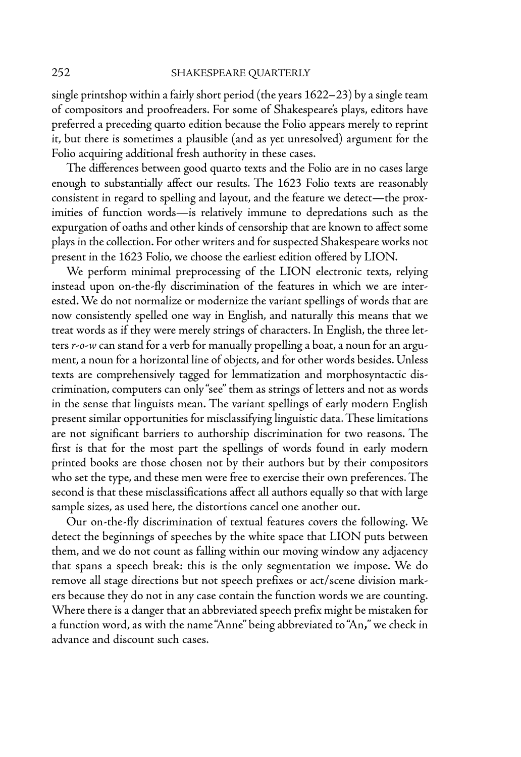single printshop within a fairly short period (the years 1622–23) by a single team of compositors and proofreaders. For some of Shakespeare's plays, editors have preferred a preceding quarto edition because the Folio appears merely to reprint it, but there is sometimes a plausible (and as yet unresolved) argument for the Folio acquiring additional fresh authority in these cases.

The differences between good quarto texts and the Folio are in no cases large enough to substantially affect our results. The 1623 Folio texts are reasonably consistent in regard to spelling and layout, and the feature we detect—the proximities of function words—is relatively immune to depredations such as the expurgation of oaths and other kinds of censorship that are known to affect some plays in the collection. For other writers and for suspected Shakespeare works not present in the 1623 Folio, we choose the earliest edition offered by LION.

We perform minimal preprocessing of the LION electronic texts, relying instead upon on-the-fly discrimination of the features in which we are interested. We do not normalize or modernize the variant spellings of words that are now consistently spelled one way in English, and naturally this means that we treat words as if they were merely strings of characters. In English, the three letters *r*-*o*-*w* can stand for a verb for manually propelling a boat, a noun for an argument, a noun for a horizontal line of objects, and for other words besides. Unless texts are comprehensively tagged for lemmatization and morphosyntactic discrimination, computers can only "see" them as strings of letters and not as words in the sense that linguists mean. The variant spellings of early modern English present similar opportunities for misclassifying linguistic data. These limitations are not significant barriers to authorship discrimination for two reasons. The first is that for the most part the spellings of words found in early modern printed books are those chosen not by their authors but by their compositors who set the type, and these men were free to exercise their own preferences. The second is that these misclassifications affect all authors equally so that with large sample sizes, as used here, the distortions cancel one another out.

Our on-the-fly discrimination of textual features covers the following. We detect the beginnings of speeches by the white space that LION puts between them, and we do not count as falling within our moving window any adjacency that spans a speech break: this is the only segmentation we impose. We do remove all stage directions but not speech prefixes or act/scene division markers because they do not in any case contain the function words we are counting. Where there is a danger that an abbreviated speech prefix might be mistaken for a function word, as with the name "Anne" being abbreviated to "An**,**" we check in advance and discount such cases.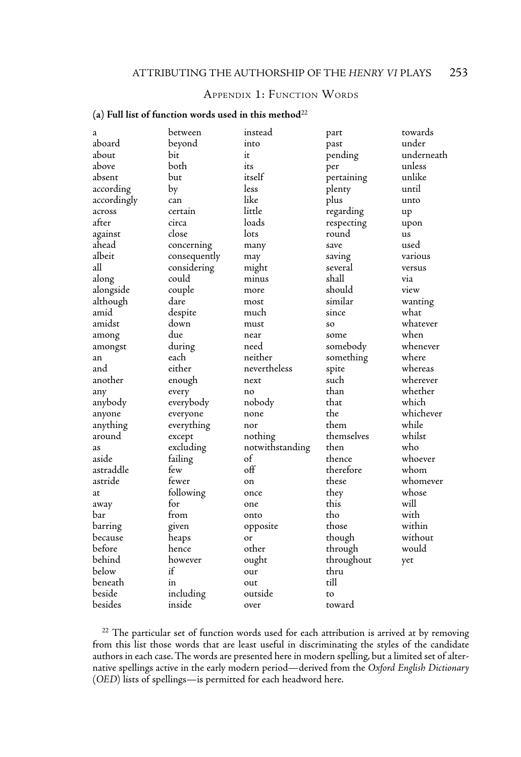### APPENDIX 1: FUNCTION WORDS

### a between instead part towards aboard beyond into past under about bit it pending underneath above both its per unless absent but itself pertaining unlike according by less plenty until accordingly can like plus unto across certain little regarding up<br>after circa loads respecting up after circa loads respecting upon<br>against close lots round us against close lots round us ahead concerning many save used albeit consequently may saving various all considering might several versus along could minus shall via alongside couple more should view although dare most similar wanting amid despite much since what amidst down must so whatever among due near some when amongst during need somebody whenever an each neither something where and either nevertheless spite whereas another enough next such wherever any every no than whether anybody everybody nobody that which anyone everyone none the whichever anything everything nor them while around except nothing themselves whilst as excluding notwithstanding then who aside failing of thence whoever astraddle few off therefore whom astride fewer on these whomever at following once they whose away for one this will bar from onto tho with barring given opposite those within because heaps or though without before hence other through would behind however ought throughout yet<br>helow if our thru below if our thru beneath in out till

### **(a) Full list of function words used in this method**<sup>22</sup>

 $22$  The particular set of function words used for each attribution is arrived at by removing from this list those words that are least useful in discriminating the styles of the candidate authors in each case. The words are presented here in modern spelling, but a limited set of alternative spellings active in the early modern period—derived from the *Oxford English Dictionary* (*OED*) lists of spellings—is permitted for each headword here.

beside including outside to besides inside over toward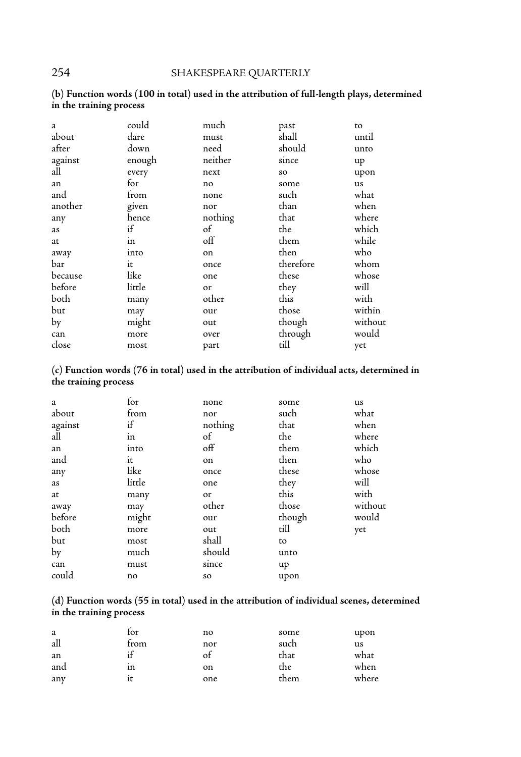| a       | could  | much      | past      | to      |
|---------|--------|-----------|-----------|---------|
|         |        |           |           |         |
| about   | dare   | must      | shall     | until   |
| after   | down   | need      | should    | unto    |
| against | enough | neither   | since     | up      |
| all     | every  | next      | <b>SO</b> | upon    |
| an      | for    | no        | some      | us      |
| and     | from   | none      | such      | what    |
| another | given  | nor       | than      | when    |
| any     | hence  | nothing   | that      | where   |
| as      | if     | $\circ$ f | the       | which   |
| at      | in     | off       | them      | while   |
| away    | into   | on        | then      | who     |
| bar     | it     | once      | therefore | whom    |
| because | like   | one       | these     | whose   |
| before  | little | or        | they      | will    |
| both    | many   | other     | this      | with    |
| but     | may    | our       | those     | within  |
| by      | might  | out       | though    | without |
| can     | more   | over      | through   | would   |
| close   | most   | part      | till      | yet     |

# **(b) Function words (100 in total) used in the attribution of full-length plays, determined in the training process**

# **(c) Function words (76 in total) used in the attribution of individual acts, determined in the training process**

| a       | for    | none    | some   | us      |
|---------|--------|---------|--------|---------|
| about   | from   | nor     | such   | what    |
| against | if     | nothing | that   | when    |
| all     | in     | of      | the    | where   |
| an      | into   | off     | them   | which   |
| and     | it     | on      | then   | who     |
| any     | like   | once    | these  | whose   |
| as      | little | one     | they   | will    |
| at      | many   | or      | this   | with    |
| away    | may    | other   | those  | without |
| before  | might  | our     | though | would   |
| both    | more   | out     | till   | yet     |
| but     | most   | shall   | to     |         |
| by      | much   | should  | unto   |         |
| can     | must   | since   | up     |         |
| could   | no     | so      | upon   |         |

# **(d) Function words (55 in total) used in the attribution of individual scenes, determined in the training process**

| a   | for  | no  | some | upon  |
|-----|------|-----|------|-------|
| all | from | nor | such | us    |
| an  |      | ot  | that | what  |
| and | ın   | on  | the  | when  |
| any | ıt   | one | them | where |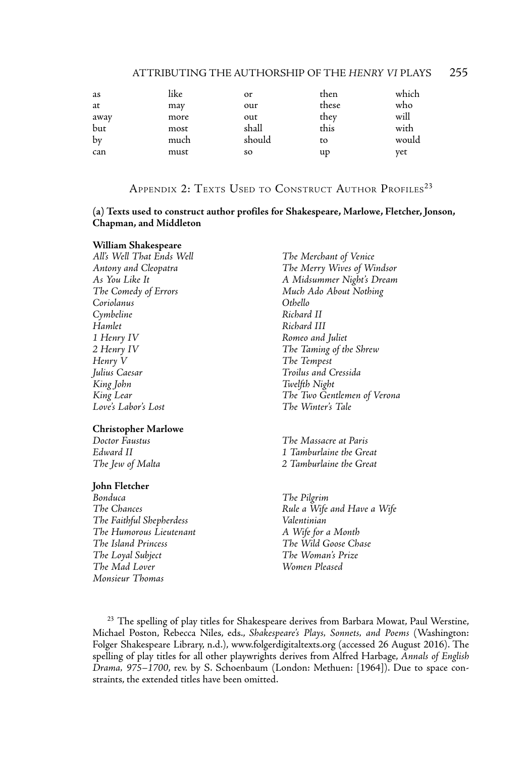## ATTRIBUTING THE AUTHORSHIP OF THE *HENRY VI* PLAYS 255

| as   | like | or     | then  | which |
|------|------|--------|-------|-------|
| at   | may  | our    | these | who   |
| away | more | out    | they  | will  |
| but  | most | shall  | this  | with  |
| by   | much | should | to    | would |
| can  | must | so     | up    | vet   |

APPENDIX 2: TEXTS USED TO CONSTRUCT AUTHOR PROFILES<sup>23</sup>

#### **(a) Texts used to construct author profiles for Shakespeare, Marlowe, Fletcher, Jonson, Chapman, and Middleton**

#### **William Shakespeare**

*All's Well That Ends Well The Merchant of Venice Coriolanus Othello Cymbeline Richard II Hamlet Richard III 1 Henry IV Romeo and Juliet Henry V The Tempest Julius Caesar Troilus and Cressida King John Twelfth Night Love's Labor's Lost The Winter's Tale* 

#### **Christopher Marlowe**

#### **John Fletcher**

*Bonduca The Pilgrim The Faithful Shepherdess Valentinian The Humorous Lieutenant A Wife for a Month The Island Princess The Wild Goose Chase The Loyal Subject The Woman's Prize The Mad Lover Women Pleased Monsieur Thomas*

*Antony and Cleopatra The Merry Wives of Windsor As You Like It A Midsummer Night's Dream The Comedy of Errors Much Ado About Nothing 2 Henry IV The Taming of the Shrew King Lear The Two Gentlemen of Verona* 

*Doctor Faustus The Massacre at Paris Edward II 1 Tamburlaine the Great The Jew of Malta 2 Tamburlaine the Great*

*The Chances Rule a Wife and Have a Wife* 

<sup>23</sup> The spelling of play titles for Shakespeare derives from Barbara Mowat, Paul Werstine, Michael Poston, Rebecca Niles, eds., *Shakespeare's Plays, Sonnets, and Poems* (Washington: Folger Shakespeare Library, n.d.), www.folgerdigitaltexts.org (accessed 26 August 2016). The spelling of play titles for all other playwrights derives from Alfred Harbage, *Annals of English Drama, 975–1700*, rev. by S. Schoenbaum (London: Methuen: [1964]). Due to space constraints, the extended titles have been omitted.